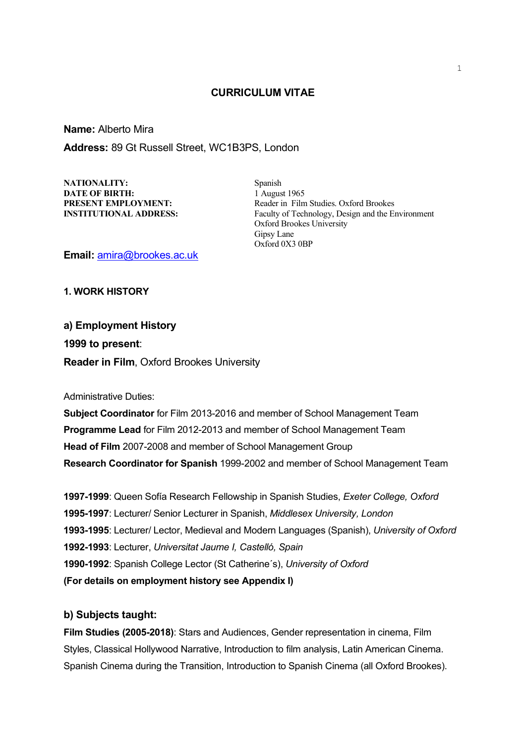## **CURRICULUM VITAE**

**Name:** Alberto Mira **Address:** 89 Gt Russell Street, WC1B3PS, London

NATIONALITY: Spanish **DATE OF BIRTH:** 1 August 1965

**PRESENT EMPLOYMENT:** Reader in Film Studies. Oxford Brookes **INSTITUTIONAL ADDRESS:** Faculty of Technology, Design and the Environment Oxford Brookes University Gipsy Lane Oxford 0X3 0BP

**Email:** [amira@brookes.ac.uk](mailto:amira@brookes.ac.uk)

**1. WORK HISTORY**

**a) Employment History 1999 to present**: **Reader in Film**, Oxford Brookes University

Administrative Duties:

**Subject Coordinator** for Film 2013-2016 and member of School Management Team **Programme Lead** for Film 2012-2013 and member of School Management Team **Head of Film** 2007-2008 and member of School Management Group **Research Coordinator for Spanish** 1999-2002 and member of School Management Team

**1997-1999**: Queen Sofía Research Fellowship in Spanish Studies, *Exeter College, Oxford* **1995-1997**: Lecturer/ Senior Lecturer in Spanish, *Middlesex University, London* **1993-1995**: Lecturer/ Lector, Medieval and Modern Languages (Spanish), *University of Oxford* **1992-1993**: Lecturer, *Universitat Jaume I, Castelló, Spain* **1990-1992**: Spanish College Lector (St Catherine´s), *University of Oxford* **(For details on employment history see Appendix I)**

## **b) Subjects taught:**

**Film Studies (2005-2018)**: Stars and Audiences, Gender representation in cinema, Film Styles, Classical Hollywood Narrative, Introduction to film analysis, Latin American Cinema. Spanish Cinema during the Transition, Introduction to Spanish Cinema (all Oxford Brookes).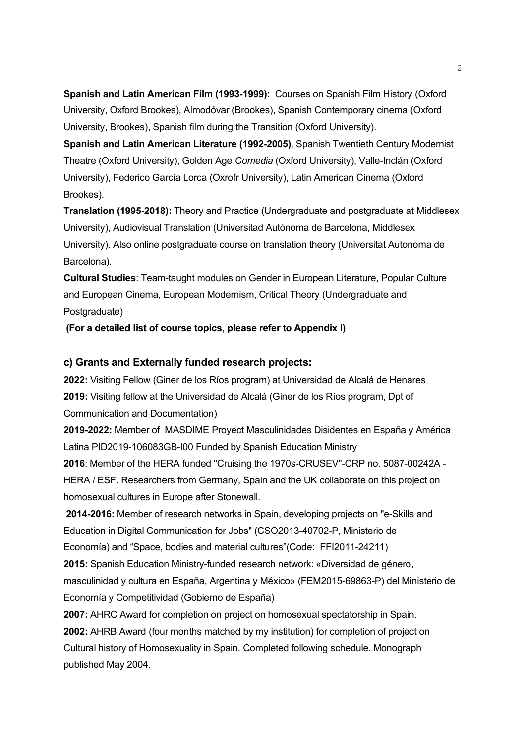**Spanish and Latin American Film (1993-1999):** Courses on Spanish Film History (Oxford University, Oxford Brookes), Almodóvar (Brookes), Spanish Contemporary cinema (Oxford University, Brookes), Spanish film during the Transition (Oxford University).

**Spanish and Latin American Literature (1992-2005)**, Spanish Twentieth Century Modernist Theatre (Oxford University), Golden Age *Comedia* (Oxford University), Valle-Inclán (Oxford University), Federico García Lorca (Oxrofr University), Latin American Cinema (Oxford Brookes).

**Translation (1995-2018):** Theory and Practice (Undergraduate and postgraduate at Middlesex University), Audiovisual Translation (Universitad Autónoma de Barcelona, Middlesex University). Also online postgraduate course on translation theory (Universitat Autonoma de Barcelona).

**Cultural Studies**: Team-taught modules on Gender in European Literature, Popular Culture and European Cinema, European Modernism, Critical Theory (Undergraduate and Postgraduate)

**(For a detailed list of course topics, please refer to Appendix I)**

# **c) Grants and Externally funded research projects:**

**2022:** Visiting Fellow (Giner de los Ríos program) at Universidad de Alcalá de Henares **2019:** Visiting fellow at the Universidad de Alcalá (Giner de los Ríos program, Dpt of Communication and Documentation)

**2019-2022:** Member of MASDIME Proyect Masculinidades Disidentes en España y América Latina PID2019-106083GB-I00 Funded by Spanish Education Ministry

**2016**: Member of the HERA funded "Cruising the 1970s-CRUSEV"-CRP no. 5087-00242A - HERA / ESF. Researchers from Germany, Spain and the UK collaborate on this project on homosexual cultures in Europe after Stonewall.

**2014-2016:** Member of research networks in Spain, developing projects on "e-Skills and Education in Digital Communication for Jobs" (CSO2013-40702-P, Ministerio de Economía) and "Space, bodies and material cultures"(Code: FFI2011-24211)

**2015:** Spanish Education Ministry-funded research network: «Diversidad de género, masculinidad y cultura en España, Argentina y México» (FEM2015-69863-P) del Ministerio de Economía y Competitividad (Gobierno de España)

**2007:** AHRC Award for completion on project on homosexual spectatorship in Spain. **2002:** AHRB Award (four months matched by my institution) for completion of project on Cultural history of Homosexuality in Spain. Completed following schedule. Monograph published May 2004.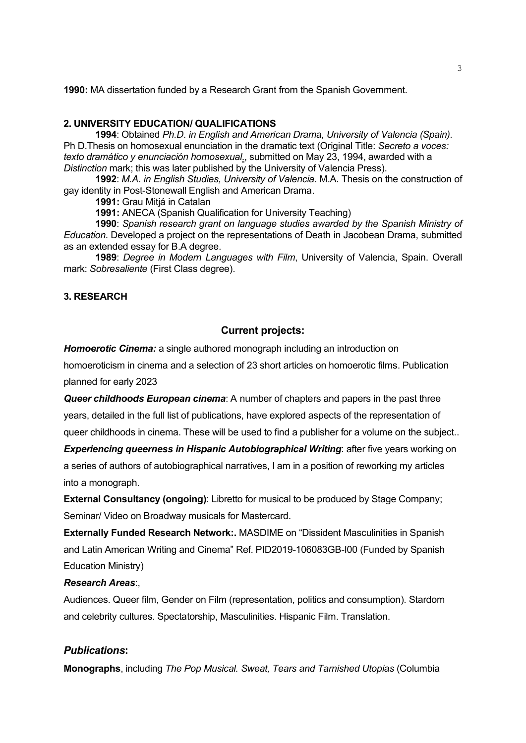**1990:** MA dissertation funded by a Research Grant from the Spanish Government.

## **2. UNIVERSITY EDUCATION/ QUALIFICATIONS**

**1994**: Obtained *Ph.D. in English and American Drama, University of Valencia (Spain).* Ph D.Thesis on homosexual enunciation in the dramatic text (Original Title: *Secreto a voces: texto dramático y enunciación homosexual*., submitted on May 23, 1994, awarded with a *Distinction* mark; this was later published by the University of Valencia Press).

**1992**: *M.A. in English Studies, University of Valencia*. M.A. Thesis on the construction of gay identity in Post-Stonewall English and American Drama.

**1991:** Grau Mitjá in Catalan

**1991:** ANECA (Spanish Qualification for University Teaching)

**1990**: *Spanish research grant on language studies awarded by the Spanish Ministry of Education.* Developed a project on the representations of Death in Jacobean Drama, submitted as an extended essay for B.A degree.

**1989**: *Degree in Modern Languages with Film*, University of Valencia, Spain. Overall mark: *Sobresaliente* (First Class degree).

## **3. RESEARCH**

## **Current projects:**

*Homoerotic Cinema:* a single authored monograph including an introduction on

homoeroticism in cinema and a selection of 23 short articles on homoerotic films. Publication planned for early 2023

*Queer childhoods European cinema*: A number of chapters and papers in the past three years, detailed in the full list of publications, have explored aspects of the representation of queer childhoods in cinema. These will be used to find a publisher for a volume on the subject..

**Experiencing queerness in Hispanic Autobiographical Writing: after five years working on** a series of authors of autobiographical narratives, I am in a position of reworking my articles into a monograph.

**External Consultancy (ongoing)**: Libretto for musical to be produced by Stage Company; Seminar/ Video on Broadway musicals for Mastercard.

**Externally Funded Research Network:.** MASDIME on "Dissident Masculinities in Spanish and Latin American Writing and Cinema" Ref. PID2019-106083GB-I00 (Funded by Spanish Education Ministry)

### *Research Areas*:,

Audiences. Queer film, Gender on Film (representation, politics and consumption). Stardom and celebrity cultures. Spectatorship, Masculinities. Hispanic Film. Translation.

## *Publications***:**

**Monographs**, including *The Pop Musical. Sweat, Tears and Tarnished Utopias* (Columbia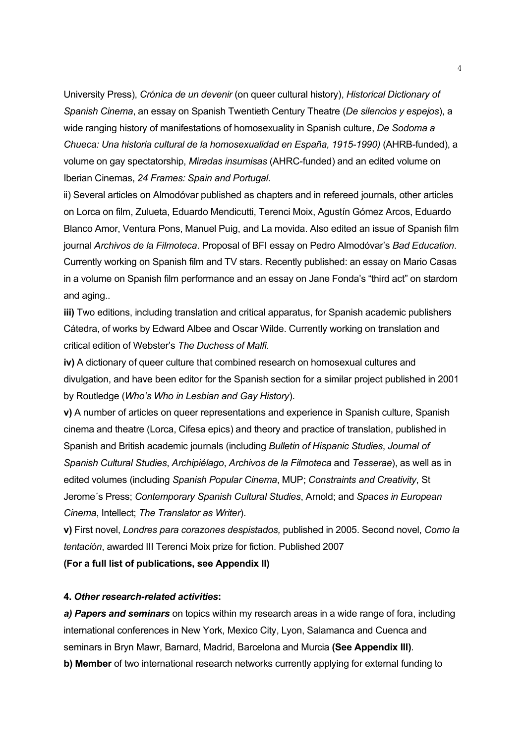University Press), *Crónica de un devenir* (on queer cultural history), *Historical Dictionary of Spanish Cinema*, an essay on Spanish Twentieth Century Theatre (*De silencios y espejos*), a wide ranging history of manifestations of homosexuality in Spanish culture, *De Sodoma a Chueca: Una historia cultural de la homosexualidad en España, 1915-1990)* (AHRB-funded), a volume on gay spectatorship, *Miradas insumisas* (AHRC-funded) and an edited volume on Iberian Cinemas, *24 Frames: Spain and Portugal*.

ii) Several articles on Almodóvar published as chapters and in refereed journals, other articles on Lorca on film, Zulueta, Eduardo Mendicutti, Terenci Moix, Agustín Gómez Arcos, Eduardo Blanco Amor, Ventura Pons, Manuel Puig, and La movida. Also edited an issue of Spanish film journal *Archivos de la Filmoteca*. Proposal of BFI essay on Pedro Almodóvar's *Bad Education*. Currently working on Spanish film and TV stars. Recently published: an essay on Mario Casas in a volume on Spanish film performance and an essay on Jane Fonda's "third act" on stardom and aging..

**iii)** Two editions, including translation and critical apparatus, for Spanish academic publishers Cátedra, of works by Edward Albee and Oscar Wilde. Currently working on translation and critical edition of Webster's *The Duchess of Malfi*.

**iv)** A dictionary of queer culture that combined research on homosexual cultures and divulgation, and have been editor for the Spanish section for a similar project published in 2001 by Routledge (*Who's Who in Lesbian and Gay History*).

**v)** A number of articles on queer representations and experience in Spanish culture, Spanish cinema and theatre (Lorca, Cifesa epics) and theory and practice of translation, published in Spanish and British academic journals (including *Bulletin of Hispanic Studies*, *Journal of Spanish Cultural Studies*, *Archipiélago*, *Archivos de la Filmoteca* and *Tesserae*), as well as in edited volumes (including *Spanish Popular Cinema*, MUP; *Constraints and Creativity*, St Jerome´s Press; *Contemporary Spanish Cultural Studies*, Arnold; and *Spaces in European Cinema*, Intellect; *The Translator as Writer*).

**v)** First novel, *Londres para corazones despistados,* published in 2005. Second novel, *Como la tentación*, awarded III Terenci Moix prize for fiction. Published 2007

**(For a full list of publications, see Appendix II)**

#### **4.** *Other research-related activities***:**

*a) Papers and seminars* on topics within my research areas in a wide range of fora, including international conferences in New York, Mexico City, Lyon, Salamanca and Cuenca and seminars in Bryn Mawr, Barnard, Madrid, Barcelona and Murcia **(See Appendix III)**. **b) Member** of two international research networks currently applying for external funding to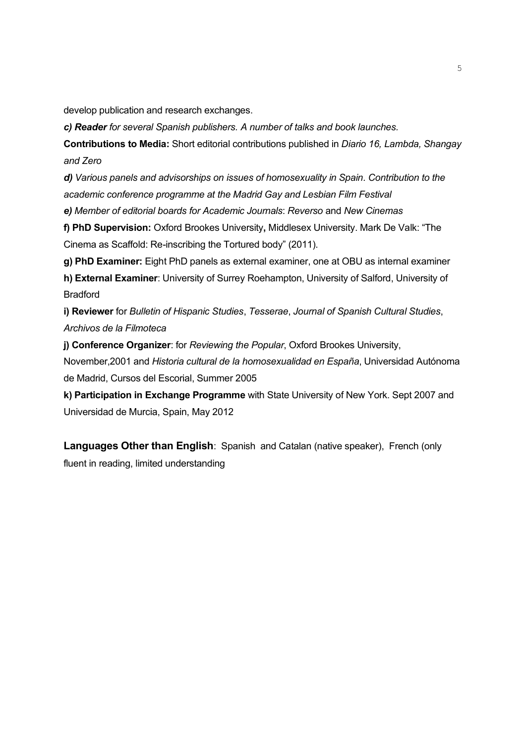develop publication and research exchanges.

*c) Reader for several Spanish publishers. A number of talks and book launches.*

**Contributions to Media:** Short editorial contributions published in *Diario 16, Lambda, Shangay and Zero*

*d) Various panels and advisorships on issues of homosexuality in Spain. Contribution to the academic conference programme at the Madrid Gay and Lesbian Film Festival*

*e) Member of editorial boards for Academic Journals*: *Reverso* and *New Cinemas*

**f) PhD Supervision:** Oxford Brookes University**,** Middlesex University. Mark De Valk: "The Cinema as Scaffold: Re-inscribing the Tortured body" (2011).

**g) PhD Examiner:** Eight PhD panels as external examiner, one at OBU as internal examiner

**h) External Examiner**: University of Surrey Roehampton, University of Salford, University of Bradford

**i) Reviewer** for *Bulletin of Hispanic Studies*, *Tesserae*, *Journal of Spanish Cultural Studies*, *Archivos de la Filmoteca*

**j) Conference Organizer**: for *Reviewing the Popular*, Oxford Brookes University,

November,2001 and *Historia cultural de la homosexualidad en España*, Universidad Autónoma de Madrid, Cursos del Escorial, Summer 2005

**k) Participation in Exchange Programme** with State University of New York. Sept 2007 and Universidad de Murcia, Spain, May 2012

**Languages Other than English**: Spanish and Catalan (native speaker), French (only fluent in reading, limited understanding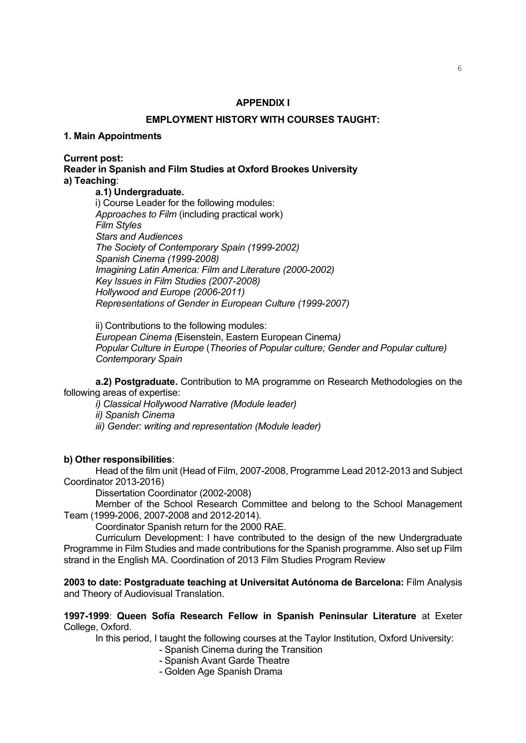## **APPENDIX I**

### **EMPLOYMENT HISTORY WITH COURSES TAUGHT:**

#### **1. Main Appointments**

**Current post:**

**Reader in Spanish and Film Studies at Oxford Brookes University a) Teaching**:

## **a.1) Undergraduate.**

i) Course Leader for the following modules: *Approaches to Film* (including practical work) *Film Styles Stars and Audiences The Society of Contemporary Spain (1999-2002) Spanish Cinema (1999-2008) Imagining Latin America: Film and Literature (2000-2002) Key Issues in Film Studies (2007-2008) Hollywood and Europe (2006-2011) Representations of Gender in European Culture (1999-2007)*

ii) Contributions to the following modules: *European Cinema (*Eisenstein, Eastern European Cinema*) Popular Culture in Europe* (*Theories of Popular culture; Gender and Popular culture) Contemporary Spain*

**a.2) Postgraduate.** Contribution to MA programme on Research Methodologies on the following areas of expertise:

*i) Classical Hollywood Narrative (Module leader)*

*ii) Spanish Cinema*

*iii) Gender: writing and representation (Module leader)*

### **b) Other responsibilities**:

Head of the film unit (Head of Film, 2007-2008, Programme Lead 2012-2013 and Subject Coordinator 2013-2016)

Dissertation Coordinator (2002-2008)

Member of the School Research Committee and belong to the School Management Team (1999-2006, 2007-2008 and 2012-2014).

Coordinator Spanish return for the 2000 RAE.

Curriculum Development: I have contributed to the design of the new Undergraduate Programme in Film Studies and made contributions for the Spanish programme. Also set up Film strand in the English MA. Coordination of 2013 Film Studies Program Review

**2003 to date: Postgraduate teaching at Universitat Autónoma de Barcelona:** Film Analysis and Theory of Audiovisual Translation.

**1997-1999**: **Queen Sofía Research Fellow in Spanish Peninsular Literature** at Exeter College, Oxford.

In this period, I taught the following courses at the Taylor Institution, Oxford University:

- Spanish Cinema during the Transition
- Spanish Avant Garde Theatre
- Golden Age Spanish Drama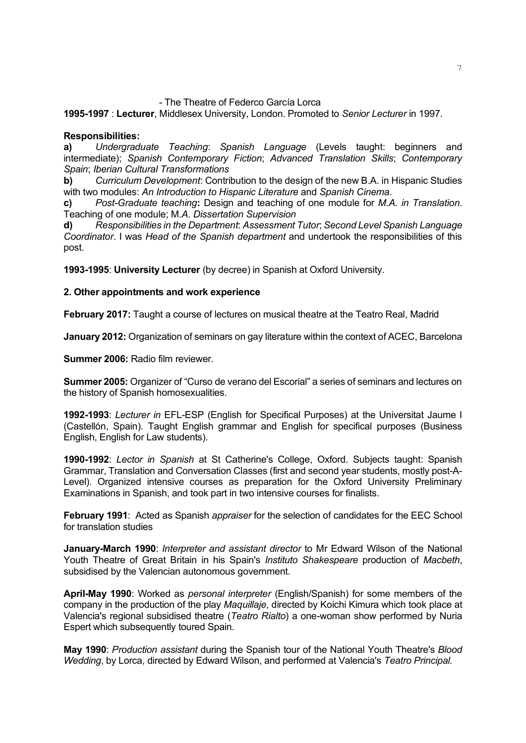## - The Theatre of Federco García Lorca

## **1995-1997** : **Lecturer**, Middlesex University, London. Promoted to *Senior Lecturer* in 1997.

## **Responsibilities:**

**a)** *Undergraduate Teaching*: *Spanish Language* (Levels taught: beginners and intermediate); *Spanish Contemporary Fiction*; *Advanced Translation Skills*; *Contemporary Spain*; *Iberian Cultural Transformations*

**b)** *Curriculum Development*: Contribution to the design of the new B.A. in Hispanic Studies with two modules: *An Introduction to Hispanic Literature* and *Spanish Cinema.*

**c)** *Post-Graduate teaching***:** Design and teaching of one module for *M.A. in Translation*. Teaching of one module; M*.A. Dissertation Supervision*

**d)** *Responsibilities in the Department*: *Assessment Tutor*; *Second Level Spanish Language Coordinator*. I was *Head of the Spanish department* and undertook the responsibilities of this post.

**1993-1995**: **University Lecturer** (by decree) in Spanish at Oxford University.

## **2. Other appointments and work experience**

**February 2017:** Taught a course of lectures on musical theatre at the Teatro Real, Madrid

**January 2012:** Organization of seminars on gay literature within the context of ACEC, Barcelona

**Summer 2006:** Radio film reviewer.

**Summer 2005:** Organizer of "Curso de verano del Escorial" a series of seminars and lectures on the history of Spanish homosexualities.

**1992-1993**: *Lecturer in* EFL-ESP (English for Specifical Purposes) at the Universitat Jaume I (Castellón, Spain). Taught English grammar and English for specifical purposes (Business English, English for Law students).

**1990-1992**: *Lector in Spanish* at St Catherine's College, Oxford. Subjects taught: Spanish Grammar, Translation and Conversation Classes (first and second year students, mostly post-A-Level). Organized intensive courses as preparation for the Oxford University Preliminary Examinations in Spanish, and took part in two intensive courses for finalists.

**February 1991**: Acted as Spanish *appraiser* for the selection of candidates for the EEC School for translation studies

**January-March 1990**: *Interpreter and assistant director* to Mr Edward Wilson of the National Youth Theatre of Great Britain in his Spain's *Instituto Shakespeare* production of *Macbeth*, subsidised by the Valencian autonomous government.

**April-May 1990**: Worked as *personal interpreter* (English/Spanish) for some members of the company in the production of the play *Maquillaje*, directed by Koichi Kimura which took place at Valencia's regional subsidised theatre (*Teatro Rialto*) a one-woman show performed by Nuria Espert which subsequently toured Spain.

**May 1990**: *Production assistant* during the Spanish tour of the National Youth Theatre's *Blood Wedding*, by Lorca, directed by Edward Wilson, and performed at Valencia's *Teatro Principal.*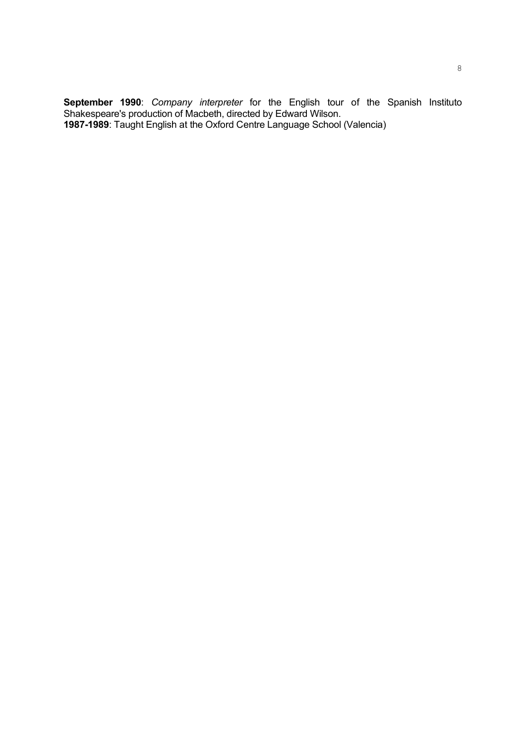**September 1990**: *Company interpreter* for the English tour of the Spanish Instituto Shakespeare's production of Macbeth, directed by Edward Wilson. **1987-1989**: Taught English at the Oxford Centre Language School (Valencia)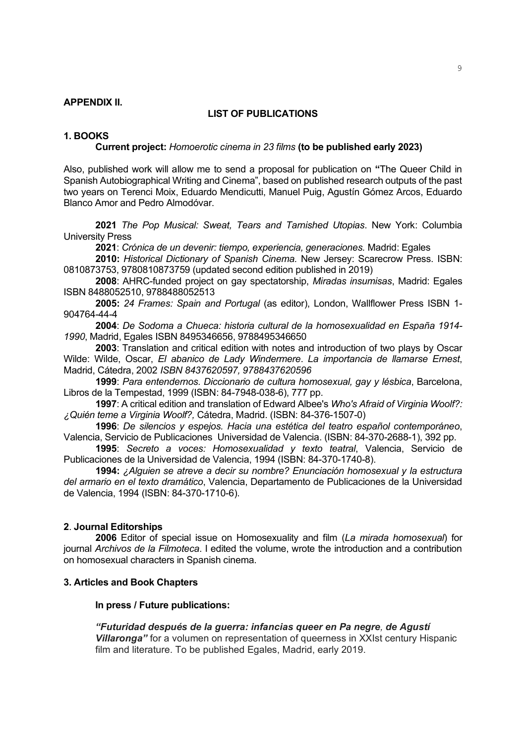## **APPENDIX II.**

## **LIST OF PUBLICATIONS**

## **1. BOOKS**

#### **Current project:** *Homoerotic cinema in 23 films* **(to be published early 2023)**

Also, published work will allow me to send a proposal for publication on **"**The Queer Child in Spanish Autobiographical Writing and Cinema", based on published research outputs of the past two years on Terenci Moix, Eduardo Mendicutti, Manuel Puig, Agustín Gómez Arcos, Eduardo Blanco Amor and Pedro Almodóvar.

**2021** *The Pop Musical: Sweat, Tears and Tarnished Utopias*. New York: Columbia University Press

**2021**: *Crónica de un devenir: tiempo, experiencia, generaciones.* Madrid: Egales

**2010:** *Historical Dictionary of Spanish Cinema.* New Jersey: Scarecrow Press. ISBN: 0810873753, 9780810873759 (updated second edition published in 2019)

**2008**: AHRC-funded project on gay spectatorship, *Miradas insumisas*, Madrid: Egales ISBN 8488052510, 9788488052513

**2005:** *24 Frames: Spain and Portugal* (as editor), London, Wallflower Press ISBN 1- 904764-44-4

**2004**: *De Sodoma a Chueca: historia cultural de la homosexualidad en España 1914- 1990*, Madrid, Egales ISBN 8495346656, 9788495346650

**2003**: Translation and critical edition with notes and introduction of two plays by Oscar Wilde: Wilde, Oscar, *El abanico de Lady Windermere*. *La importancia de llamarse Ernest*, Madrid, Cátedra, 2002 *ISBN 8437620597, 9788437620596*

**1999**: *Para entendernos. Diccionario de cultura homosexual, gay y lésbica*, Barcelona, Libros de la Tempestad, 1999 (ISBN: 84-7948-038-6), 777 pp.

**1997**: A critical edition and translation of Edward Albee's *Who's Afraid of Virginia Woolf?: ¿Quién teme a Virginia Woolf?,* Cátedra, Madrid. (ISBN: 84-376-1507-0)

**1996**: *De silencios y espejos. Hacia una estética del teatro español contemporáneo*, Valencia, Servicio de Publicaciones Universidad de Valencia. (ISBN: 84-370-2688-1), 392 pp.

**1995**: *Secreto a voces: Homosexualidad y texto teatral*, Valencia, Servicio de Publicaciones de la Universidad de Valencia, 1994 (ISBN: 84-370-1740-8).

**1994:** *¿Alguien se atreve a decir su nombre? Enunciación homosexual y la estructura del armario en el texto dramático*, Valencia, Departamento de Publicaciones de la Universidad de Valencia, 1994 (ISBN: 84-370-1710-6).

### **2**. **Journal Editorships**

**2006** Editor of special issue on Homosexuality and film (*La mirada homosexual*) for journal *Archivos de la Filmoteca*. I edited the volume, wrote the introduction and a contribution on homosexual characters in Spanish cinema.

#### **3. Articles and Book Chapters**

### **In press / Future publications:**

*"Futuridad después de la guerra: infancias queer en Pa negre, de Agustí Villaronga"* for a volumen on representation of queerness in XXIst century Hispanic film and literature. To be published Egales, Madrid, early 2019.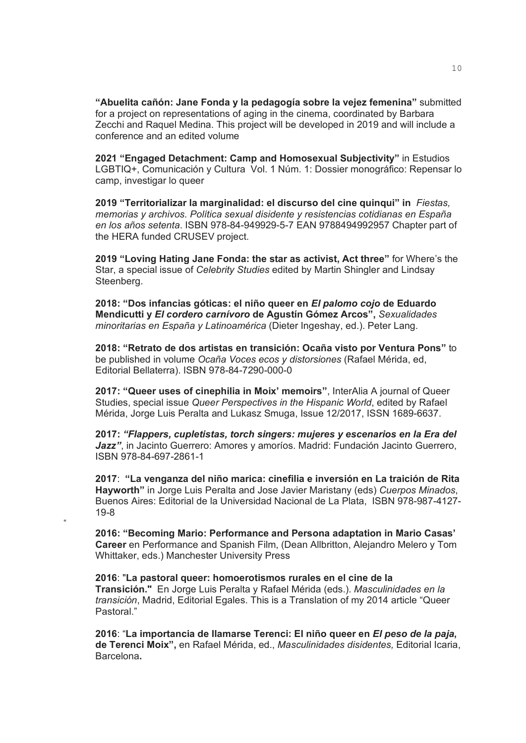**"Abuelita cañón: Jane Fonda y la pedagogía sobre la vejez femenina"** submitted for a project on representations of aging in the cinema, coordinated by Barbara Zecchi and Raquel Medina. This project will be developed in 2019 and will include a conference and an edited volume

**2021 "Engaged Detachment: Camp and Homosexual Subjectivity"** in Estudios LGBTIQ+, Comunicación y Cultura Vol. 1 Núm. 1: Dossier monográfico: Repensar lo camp, investigar lo queer

**2019 "Territorializar la marginalidad: el discurso del cine quinqui" in** *Fiestas, memorias y archivos. Política sexual disidente y resistencias cotidianas en España en los años setenta*. ISBN 978-84-949929-5-7 EAN 9788494992957 Chapter part of the HERA funded CRUSEV project.

**2019 "Loving Hating Jane Fonda: the star as activist, Act three"** for Where's the Star, a special issue of *Celebrity Studies* edited by Martin Shingler and Lindsay Steenberg.

**2018: "Dos infancias góticas: el niño queer en** *El palomo cojo* **de Eduardo Mendicutti y** *El cordero carnívoro* **de Agustín Gómez Arcos",** *Sexualidades minoritarias en España y Latinoamérica* (Dieter Ingeshay, ed.). Peter Lang.

**2018: "Retrato de dos artistas en transición: Ocaña visto por Ventura Pons"** to be published in volume *Ocaña Voces ecos y distorsiones* (Rafael Mérida, ed, Editorial Bellaterra). ISBN 978-84-7290-000-0

**2017: "Queer uses of cinephilia in Moix' memoirs"**, InterAlia A journal of Queer Studies, special issue *Queer Perspectives in the Hispanic World*, edited by Rafael Mérida, Jorge Luis Peralta and Lukasz Smuga, Issue 12/2017, ISSN 1689-6637.

**2017:** *"Flappers, cupletistas, torch singers: mujeres y escenarios en la Era del*  Jazz", in Jacinto Guerrero: Amores y amoríos. Madrid: Fundación Jacinto Guerrero, ISBN 978-84-697-2861-1

**2017**: **"La venganza del niño marica: cinefilia e inversión en La traición de Rita Hayworth"** in Jorge Luis Peralta and Jose Javier Maristany (eds) *Cuerpos Minados*, Buenos Aires: Editorial de la Universidad Nacional de La Plata, ISBN 978-987-4127- 19-8

**2016: "Becoming Mario: Performance and Persona adaptation in Mario Casas' Career** en Performance and Spanish Film, (Dean Allbritton, Alejandro Melero y Tom Whittaker, eds.) Manchester University Press

"

**2016**: "**La pastoral queer: homoerotismos rurales en el cine de la Transición."** En Jorge Luis Peralta y Rafael Mérida (eds.). *Masculinidades en la transición*, Madrid, Editorial Egales. This is a Translation of my 2014 article "Queer Pastoral."

**2016**: "**La importancia de llamarse Terenci: El niño queer en** *El peso de la paja***, de Terenci Moix",** en Rafael Mérida, ed., *Masculinidades disidentes,* Editorial Icaria, Barcelona**.**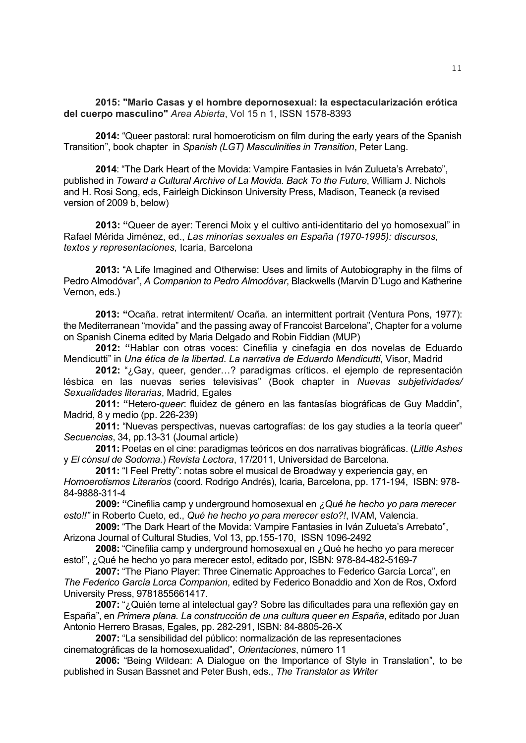**2015: "Mario Casas y el hombre depornosexual: la espectacularización erótica del cuerpo masculino"** *Area Abierta*, Vol 15 n 1, ISSN 1578-8393

**2014:** "Queer pastoral: rural homoeroticism on film during the early years of the Spanish Transition", book chapter in *Spanish (LGT) Masculinities in Transition*, Peter Lang.

**2014**: "The Dark Heart of the Movida: Vampire Fantasies in Iván Zulueta's Arrebato", published in *Toward a Cultural Archive of La Movida. Back To the Future*, William J. Nichols and H. Rosi Song, eds, Fairleigh Dickinson University Press, Madison, Teaneck (a revised version of 2009 b, below)

**2013: "**Queer de ayer: Terenci Moix y el cultivo anti-identitario del yo homosexual" in Rafael Mérida Jiménez, ed., *Las minorías sexuales en España (1970-1995): discursos, textos y representaciones,* Icaria, Barcelona

**2013:** "A Life Imagined and Otherwise: Uses and limits of Autobiography in the films of Pedro Almodóvar", *A Companion to Pedro Almodóvar*, Blackwells (Marvin D'Lugo and Katherine Vernon, eds.)

**2013: "**Ocaña. retrat intermitent/ Ocaña. an intermittent portrait (Ventura Pons, 1977): the Mediterranean "movida" and the passing away of Francoist Barcelona", Chapter for a volume on Spanish Cinema edited by Maria Delgado and Robin Fiddian (MUP)

**2012: "**Hablar con otras voces: Cinefilia y cinefagia en dos novelas de Eduardo Mendicutti" in *Una ética de la libertad. La narrativa de Eduardo Mendicutti*, Visor, Madrid

**2012:** "¿Gay, queer, gender…? paradigmas críticos. el ejemplo de representación lésbica en las nuevas series televisivas" (Book chapter in *Nuevas subjetividades/ Sexualidades literarias*, Madrid, Egales

**2011: "**Hetero-*queer*: fluidez de género en las fantasías biográficas de Guy Maddin", Madrid, 8 y medio (pp. 226-239)

**2011:** "Nuevas perspectivas, nuevas cartografías: de los gay studies a la teoría queer" *Secuencias*, 34, pp.13-31 (Journal article)

**2011:** Poetas en el cine: paradigmas teóricos en dos narrativas biográficas. (*Little Ashes* y *El cónsul de Sodoma*.) *Revista Lectora*, 17/2011, Universidad de Barcelona.

**2011:** "I Feel Pretty": notas sobre el musical de Broadway y experiencia gay, en *Homoerotismos Literarios* (coord. Rodrigo Andrés), Icaria, Barcelona, pp. 171-194, ISBN: 978- 84-9888-311-4

**2009: "**Cinefilia camp y underground homosexual en *¿Qué he hecho yo para merecer esto!!"* in Roberto Cueto, ed., *Qué he hecho yo para merecer esto?!*, IVAM, Valencia.

**2009:** "The Dark Heart of the Movida: Vampire Fantasies in Iván Zulueta's Arrebato", Arizona Journal of Cultural Studies, Vol 13, pp.155-170, ISSN 1096-2492

**2008:** "Cinefilia camp y underground homosexual en ¿Qué he hecho yo para merecer esto!", ¿Qué he hecho yo para merecer esto!, editado por, ISBN: 978-84-482-5169-7

**2007:** "The Piano Player: Three Cinematic Approaches to Federico García Lorca", en *The Federico García Lorca Companion*, edited by Federico Bonaddio and Xon de Ros, Oxford University Press, 9781855661417.

**2007:** "¿Quién teme al intelectual gay? Sobre las dificultades para una reflexión gay en España", en *Primera plana. La construcción de una cultura queer en España*, editado por Juan Antonio Herrero Brasas, Egales, pp. 282-291, ISBN: 84-8805-26-X

**2007:** "La sensibilidad del público: normalización de las representaciones cinematográficas de la homosexualidad", *Orientaciones*, número 11

**2006:** "Being Wildean: A Dialogue on the Importance of Style in Translation", to be published in Susan Bassnet and Peter Bush, eds., *The Translator as Writer*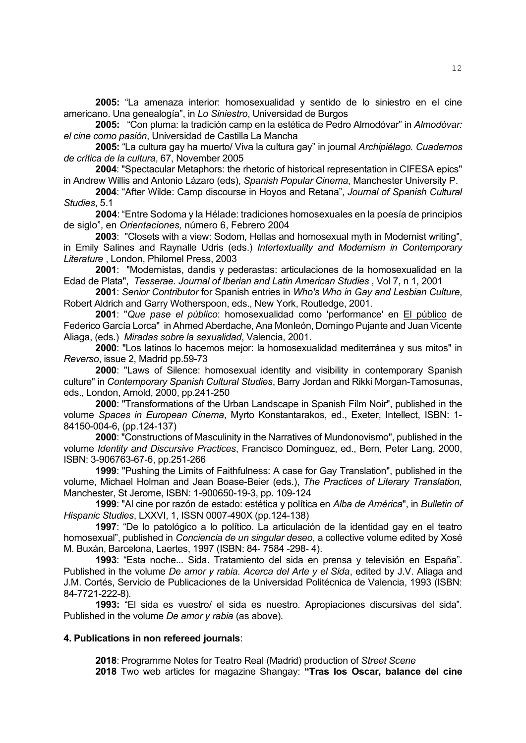**2005:** "La amenaza interior: homosexualidad y sentido de lo siniestro en el cine americano. Una genealogía", in *Lo Siniestro*, Universidad de Burgos

**2005:** "Con pluma: la tradición camp en la estética de Pedro Almodóvar" in *Almodóvar: el cine como pasión*, Universidad de Castilla La Mancha

**2005:** "La cultura gay ha muerto/ Viva la cultura gay" in journal *Archipiélago. Cuadernos de crítica de la cultura*, 67, November 2005

**2004**: "Spectacular Metaphors: the rhetoric of historical representation in CIFESA epics" in Andrew Willis and Antonio Lázaro (eds), *Spanish Popular Cinema*, Manchester University P.

**2004**: "After Wilde: Camp discourse in Hoyos and Retana", *Journal of Spanish Cultural Studies*, 5.1

**2004**: "Entre Sodoma y la Hélade: tradiciones homosexuales en la poesía de principios de siglo", en *Orientaciones,* número 6, Febrero 2004

**2003**: "Closets with a view: Sodom, Hellas and homosexual myth in Modernist writing", in Emily Salines and Raynalle Udris (eds.) *Intertextuality and Modernism in Contemporary Literature* , London, Philomel Press, 2003

**2001**: "Modernistas, dandis y pederastas: articulaciones de la homosexualidad en la Edad de Plata", *Tesserae. Journal of Iberian and Latin American Studies* , Vol 7, n 1, 2001

**2001**: *Senior Contributor* for Spanish entries in *Who's Who in Gay and Lesbian Culture*, Robert Aldrich and Garry Wotherspoon, eds., New York, Routledge, 2001.

**2001**: "*Que pase el público*: homosexualidad como 'performance' en El público de Federico García Lorca" in Ahmed Aberdache, Ana Monleón, Domingo Pujante and Juan Vicente Aliaga, (eds.) *Miradas sobre la sexualidad*, Valencia, 2001.

**2000**: "Los latinos lo hacemos mejor: la homosexualidad mediterránea y sus mitos" in *Reverso*, issue 2, Madrid pp.59-73

**2000**: "Laws of Silence: homosexual identity and visibility in contemporary Spanish culture" in *Contemporary Spanish Cultural Studies*, Barry Jordan and Rikki Morgan-Tamosunas, eds., London, Arnold, 2000, pp.241-250

**2000**: "Transformations of the Urban Landscape in Spanish Film Noir", published in the volume *Spaces in European Cinema*, Myrto Konstantarakos, ed., Exeter, Intellect, ISBN: 1- 84150-004-6, (pp.124-137)

**2000**: "Constructions of Masculinity in the Narratives of Mundonovismo", published in the volume *Identity and Discursive Practices*, Francisco Domínguez, ed., Bern, Peter Lang, 2000, ISBN: 3-906763-67-6, pp.251-266

**1999**: "Pushing the Limits of Faithfulness: A case for Gay Translation", published in the volume, Michael Holman and Jean Boase-Beier (eds.), *The Practices of Literary Translation,* Manchester, St Jerome, ISBN: 1-900650-19-3, pp. 109-124

**1999**: "Al cine por razón de estado: estética y política en *Alba de América*", in *Bulletin of Hispanic Studies*, LXXVI, 1, ISSN 0007-490X (pp.124-138)

**1997**: "De lo patológico a lo político. La articulación de la identidad gay en el teatro homosexual", published in *Conciencia de un singular deseo*, a collective volume edited by Xosé M. Buxán, Barcelona, Laertes, 1997 (ISBN: 84- 7584 -298- 4).

**1993**: "Esta noche... Sida. Tratamiento del sida en prensa y televisión en España". Published in the volume *De amor y rabia. Acerca del Arte y el Sida*, edited by J.V. Aliaga and J.M. Cortés, Servicio de Publicaciones de la Universidad Politécnica de Valencia, 1993 (ISBN: 84-7721-222-8).

**1993:** "El sida es vuestro/ el sida es nuestro. Apropiaciones discursivas del sida"*.* Published in the volume *De amor y rabia* (as above).

#### **4. Publications in non refereed journals**:

**2018**: Programme Notes for Teatro Real (Madrid) production of *Street Scene* **2018** Two web articles for magazine Shangay: **"Tras los Oscar, balance del cine**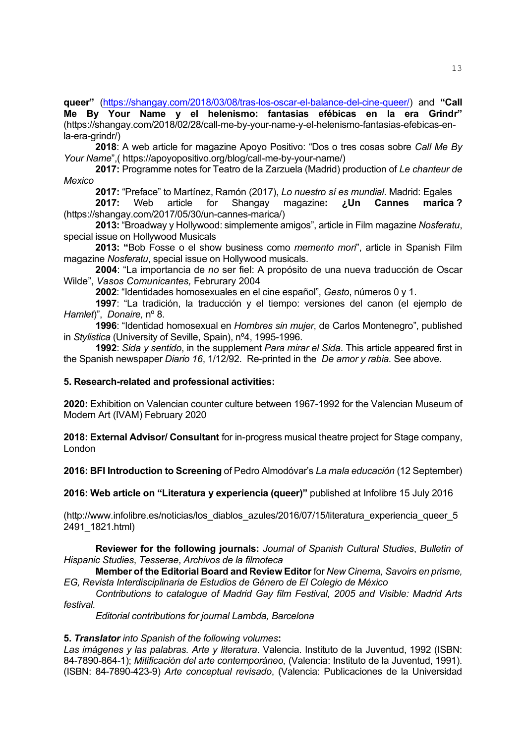**queer"** [\(https://shangay.com/2018/03/08/tras-los-oscar-el-balance-del-cine-queer/\)](https://shangay.com/2018/03/08/tras-los-oscar-el-balance-del-cine-queer/) and **"Call Me By Your Name y el helenismo: fantasias efébicas en la era Grindr"**  (https://shangay.com/2018/02/28/call-me-by-your-name-y-el-helenismo-fantasias-efebicas-enla-era-grindr/)

**2018**: A web article for magazine Apoyo Positivo: "Dos o tres cosas sobre *Call Me By Your Name*",( https://apoyopositivo.org/blog/call-me-by-your-name/)

**2017:** Programme notes for Teatro de la Zarzuela (Madrid) production of *Le chanteur de Mexico*

**2017:** "Preface" to Martínez, Ramón (2017), *Lo nuestro sí es mundial*. Madrid: Egales

**2017:** Web article for Shangay magazine**: ¿Un Cannes marica ?**  (https://shangay.com/2017/05/30/un-cannes-marica/)

**2013:** "Broadway y Hollywood: simplemente amigos", article in Film magazine *Nosferatu*, special issue on Hollywood Musicals

**2013: "**Bob Fosse o el show business como *memento mori*", article in Spanish Film magazine *Nosferatu*, special issue on Hollywood musicals.

**2004**: "La importancia de *no* ser fiel: A propósito de una nueva traducción de Oscar Wilde", *Vasos Comunicantes,* Februrary 2004

**2002**: "Identidades homosexuales en el cine español", *Gesto*, números 0 y 1.

**1997**: "La tradición, la traducción y el tiempo: versiones del canon (el ejemplo de *Hamlet*)", *Donaire,* nº 8.

**1996**: "Identidad homosexual en *Hombres sin mujer*, de Carlos Montenegro", published in *Stylistica* (University of Seville, Spain), nº4, 1995-1996.

**1992**: *Sida y sentido*, in the supplement *Para mirar el Sida*. This article appeared first in the Spanish newspaper *Diario 16*, 1/12/92. Re-printed in the *De amor y rabia.* See above*.*

## **5. Research-related and professional activities:**

**2020:** Exhibition on Valencian counter culture between 1967-1992 for the Valencian Museum of Modern Art (IVAM) February 2020

**2018: External Advisor/ Consultant** for in-progress musical theatre project for Stage company, London

**2016: BFI Introduction to Screening** of Pedro Almodóvar's *La mala educación* (12 September)

**2016: Web article on "Literatura y experiencia (queer)"** published at Infolibre 15 July 2016

(http://www.infolibre.es/noticias/los\_diablos\_azules/2016/07/15/literatura\_experiencia\_queer\_5 2491\_1821.html)

**Reviewer for the following journals:** *Journal of Spanish Cultural Studies*, *Bulletin of Hispanic Studies*, *Tesserae*, *Archivos de la filmoteca*

**Member of the Editorial Board and Review Editor** for *New Cinema, Savoirs en prisme, EG, Revista Interdisciplinaria de Estudios de Género de El Colegio de México*

*Contributions to catalogue of Madrid Gay film Festival, 2005 and Visible: Madrid Arts festival.*

*Editorial contributions for journal Lambda, Barcelona*

### **5.** *Translator into Spanish of the following volumes***:**

*Las imágenes y las palabras. Arte y literatura*. Valencia. Instituto de la Juventud, 1992 (ISBN: 84-7890-864-1); *Mitificación del arte contemporáneo,* (Valencia: Instituto de la Juventud, 1991). (ISBN: 84-7890-423-9) *Arte conceptual revisado*, (Valencia: Publicaciones de la Universidad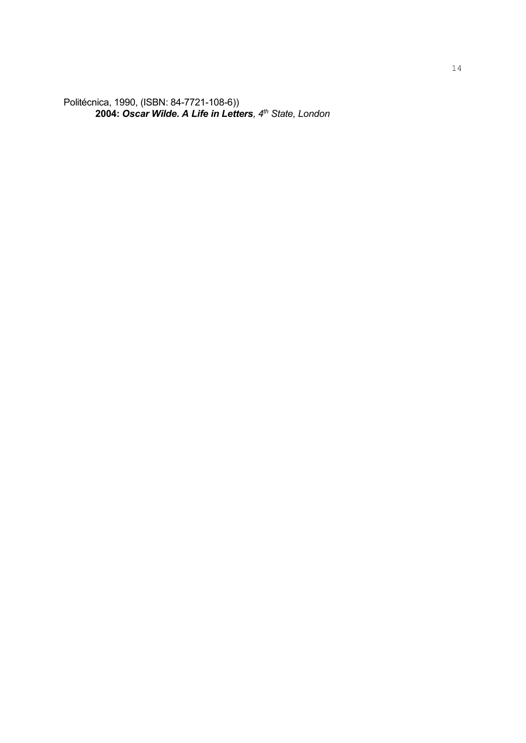Politécnica, 1990, (ISBN: 84-7721-108-6)) **2004:** *Oscar Wilde. A Life in Letters, 4th State, London*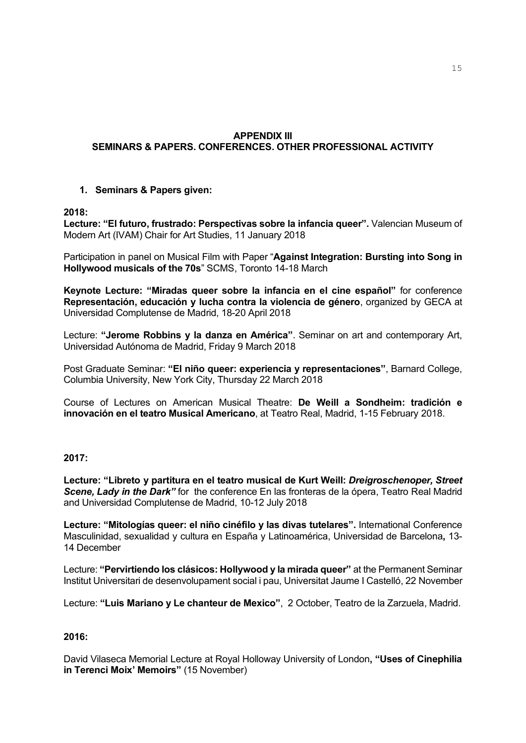# **APPENDIX III SEMINARS & PAPERS. CONFERENCES. OTHER PROFESSIONAL ACTIVITY**

## **1. Seminars & Papers given:**

## **2018:**

**Lecture: "El futuro, frustrado: Perspectivas sobre la infancia queer".** Valencian Museum of Modern Art (IVAM) Chair for Art Studies, 11 January 2018

Participation in panel on Musical Film with Paper "**Against Integration: Bursting into Song in Hollywood musicals of the 70s**" SCMS, Toronto 14-18 March

**Keynote Lecture: "Miradas queer sobre la infancia en el cine español"** for conference **Representación, educación y lucha contra la violencia de género**, organized by GECA at Universidad Complutense de Madrid, 18-20 April 2018

Lecture: **"Jerome Robbins y la danza en América"**. Seminar on art and contemporary Art, Universidad Autónoma de Madrid, Friday 9 March 2018

Post Graduate Seminar: **"El niño queer: experiencia y representaciones"**, Barnard College, Columbia University, New York City, Thursday 22 March 2018

Course of Lectures on American Musical Theatre: **De Weill a Sondheim: tradición e innovación en el teatro Musical Americano**, at Teatro Real, Madrid, 1-15 February 2018.

## **2017:**

**Lecture: "Libreto y partitura en el teatro musical de Kurt Weill:** *Dreigroschenoper, Street Scene, Lady in the Dark"* for the conference En las fronteras de la ópera, Teatro Real Madrid and Universidad Complutense de Madrid, 10-12 July 2018

**Lecture: "Mitologías queer: el niño cinéfilo y las divas tutelares".** International Conference Masculinidad, sexualidad y cultura en España y Latinoamérica, Universidad de Barcelona**,** 13- 14 December

Lecture: **"Pervirtiendo los clásicos: Hollywood y la mirada queer"** at the Permanent Seminar Institut Universitari de desenvolupament social i pau, Universitat Jaume I Castelló, 22 November

Lecture: **"Luis Mariano y Le chanteur de Mexico"**, 2 October, Teatro de la Zarzuela, Madrid.

## **2016:**

David Vilaseca Memorial Lecture at Royal Holloway University of London**, "Uses of Cinephilia in Terenci Moix' Memoirs"** (15 November)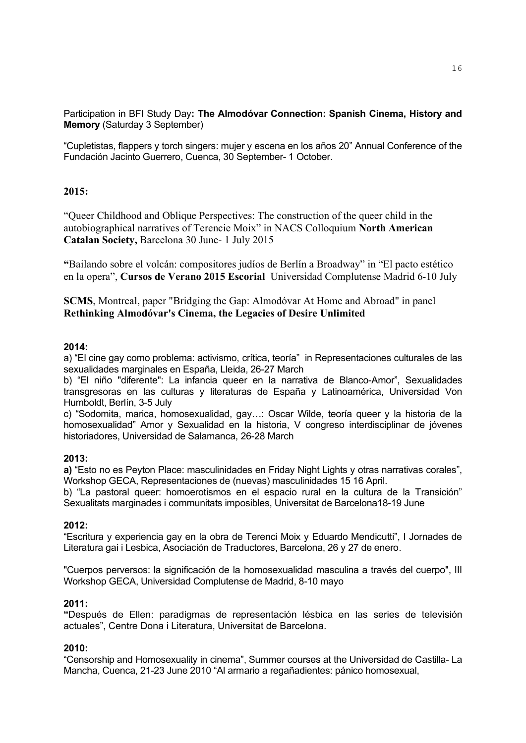Participation in BFI Study Day**: The Almodóvar Connection: Spanish Cinema, History and Memory** (Saturday 3 September)

"Cupletistas, flappers y torch singers: mujer y escena en los años 20" Annual Conference of the Fundación Jacinto Guerrero, Cuenca, 30 September- 1 October.

## **2015:**

"Queer Childhood and Oblique Perspectives: The construction of the queer child in the autobiographical narratives of Terencie Moix" in NACS Colloquium **North American Catalan Society,** Barcelona 30 June- 1 July 2015

**"**Bailando sobre el volcán: compositores judíos de Berlín a Broadway" in "El pacto estético en la opera", **Cursos de Verano 2015 Escorial** Universidad Complutense Madrid 6-10 July

**SCMS**, Montreal, paper "Bridging the Gap: Almodóvar At Home and Abroad" in panel **Rethinking Almodóvar's Cinema, the Legacies of Desire Unlimited**

## **2014:**

a) "El cine gay como problema: activismo, crítica, teoría" in Representaciones culturales de las sexualidades marginales en España, Lleida, 26-27 March

b) "El niño "diferente": La infancia queer en la narrativa de Blanco-Amor", Sexualidades transgresoras en las culturas y literaturas de España y Latinoamérica, Universidad Von Humboldt, Berlín, 3-5 July

c) "Sodomita, marica, homosexualidad, gay…: Oscar Wilde, teoría queer y la historia de la homosexualidad" Amor y Sexualidad en la historia, V congreso interdisciplinar de jóvenes historiadores, Universidad de Salamanca, 26-28 March

### **2013:**

**a)** "Esto no es Peyton Place: masculinidades en Friday Night Lights y otras narrativas corales", Workshop GECA, Representaciones de (nuevas) masculinidades 15 16 April.

b) "La pastoral queer: homoerotismos en el espacio rural en la cultura de la Transición" Sexualitats marginades i communitats imposibles, Universitat de Barcelona18-19 June

### **2012:**

"Escritura y experiencia gay en la obra de Terenci Moix y Eduardo Mendicutti", I Jornades de Literatura gai i Lesbica, Asociación de Traductores, Barcelona, 26 y 27 de enero.

"Cuerpos perversos: la significación de la homosexualidad masculina a través del cuerpo", III Workshop GECA, Universidad Complutense de Madrid, 8-10 mayo

## **2011:**

**"**Después de Ellen: paradigmas de representación lésbica en las series de televisión actuales", Centre Dona i Literatura, Universitat de Barcelona.

### **2010:**

"Censorship and Homosexuality in cinema", Summer courses at the Universidad de Castilla- La Mancha, Cuenca, 21-23 June 2010 "Al armario a regañadientes: pánico homosexual,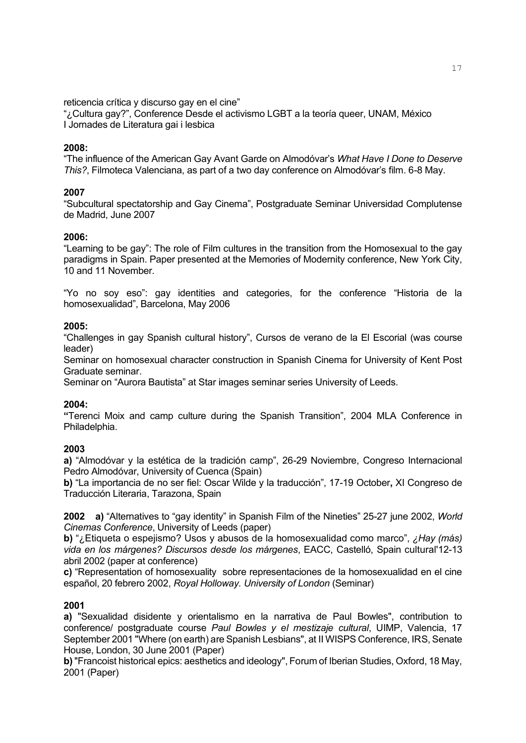reticencia crítica y discurso gay en el cine"

"¿Cultura gay?", Conference Desde el activismo LGBT a la teoría queer, UNAM, México I Jornades de Literatura gai i lesbica

## **2008:**

"The influence of the American Gay Avant Garde on Almodóvar's *What Have I Done to Deserve This?*, Filmoteca Valenciana, as part of a two day conference on Almodóvar's film. 6-8 May.

## **2007**

"Subcultural spectatorship and Gay Cinema", Postgraduate Seminar Universidad Complutense de Madrid, June 2007

### **2006:**

"Learning to be gay": The role of Film cultures in the transition from the Homosexual to the gay paradigms in Spain. Paper presented at the Memories of Modernity conference, New York City, 10 and 11 November.

"Yo no soy eso": gay identities and categories, for the conference "Historia de la homosexualidad", Barcelona, May 2006

## **2005:**

"Challenges in gay Spanish cultural history", Cursos de verano de la El Escorial (was course leader)

Seminar on homosexual character construction in Spanish Cinema for University of Kent Post Graduate seminar.

Seminar on "Aurora Bautista" at Star images seminar series University of Leeds.

### **2004:**

**"**Terenci Moix and camp culture during the Spanish Transition", 2004 MLA Conference in Philadelphia.

### **2003**

**a)** "Almodóvar y la estética de la tradición camp", 26-29 Noviembre, Congreso Internacional Pedro Almodóvar, University of Cuenca (Spain)

**b)** "La importancia de no ser fiel: Oscar Wilde y la traducción", 17-19 October**,** XI Congreso de Traducción Literaria, Tarazona, Spain

**2002 a)** "Alternatives to "gay identity" in Spanish Film of the Nineties" 25-27 june 2002, *World Cinemas Conference*, University of Leeds (paper)

**b)** "¿Etiqueta o espejismo? Usos y abusos de la homosexualidad como marco", *¿Hay (más) vida en los márgenes? Discursos desde los márgenes*, EACC, Castelló, Spain cultural'12-13 abril 2002 (paper at conference)

**c)** "Representation of homosexuality sobre representaciones de la homosexualidad en el cine español, 20 febrero 2002, *Royal Holloway. University of London* (Seminar)

### **2001**

**a)** "Sexualidad disidente y orientalismo en la narrativa de Paul Bowles", contribution to conference/ postgraduate course *Paul Bowles y el mestizaje cultural*, UIMP, Valencia, 17 September 2001 "Where (on earth) are Spanish Lesbians", at II WISPS Conference, IRS, Senate House, London, 30 June 2001 (Paper)

**b)** "Francoist historical epics: aesthetics and ideology", Forum of Iberian Studies, Oxford, 18 May, 2001 (Paper)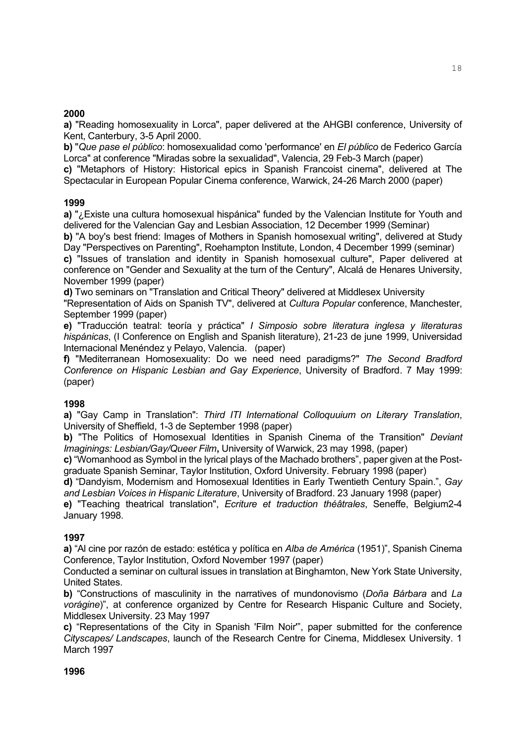## **2000**

**a)** "Reading homosexuality in Lorca", paper delivered at the AHGBI conference, University of Kent, Canterbury, 3-5 April 2000.

**b)** "*Que pase el público*: homosexualidad como 'performance' en *El público* de Federico García Lorca" at conference "Miradas sobre la sexualidad", Valencia, 29 Feb-3 March (paper)

**c)** "Metaphors of History: Historical epics in Spanish Francoist cinema", delivered at The Spectacular in European Popular Cinema conference, Warwick, 24-26 March 2000 (paper)

## **1999**

**a)** "¿Existe una cultura homosexual hispánica" funded by the Valencian Institute for Youth and delivered for the Valencian Gay and Lesbian Association, 12 December 1999 (Seminar)

**b)** "A boy's best friend: Images of Mothers in Spanish homosexual writing", delivered at Study Day "Perspectives on Parenting", Roehampton Institute, London, 4 December 1999 (seminar)

**c)** "Issues of translation and identity in Spanish homosexual culture", Paper delivered at conference on "Gender and Sexuality at the turn of the Century", Alcalá de Henares University, November 1999 (paper)

**d)** Two seminars on "Translation and Critical Theory" delivered at Middlesex University

"Representation of Aids on Spanish TV", delivered at *Cultura Popular* conference, Manchester, September 1999 (paper)

**e)** "Traducción teatral: teoría y práctica" *I Simposio sobre literatura inglesa y literaturas hispánicas*, (I Conference on English and Spanish literature), 21-23 de june 1999, Universidad Internacional Menéndez y Pelayo, Valencia. (paper)

**f)** "Mediterranean Homosexuality: Do we need need paradigms?" *The Second Bradford Conference on Hispanic Lesbian and Gay Experience*, University of Bradford. 7 May 1999: (paper)

# **1998**

**a)** "Gay Camp in Translation": *Third ITI International Colloquuium on Literary Translation*, University of Sheffield, 1-3 de September 1998 (paper)

**b)** "The Politics of Homosexual Identities in Spanish Cinema of the Transition" *Deviant Imaginings: Lesbian/Gay/Queer Film***,** University of Warwick, 23 may 1998, (paper)

**c)** "Womanhood as Symbol in the lyrical plays of the Machado brothers", paper given at the Postgraduate Spanish Seminar, Taylor Institution, Oxford University. February 1998 (paper)

**d)** "Dandyism, Modernism and Homosexual Identities in Early Twentieth Century Spain.", *Gay and Lesbian Voices in Hispanic Literature*, University of Bradford. 23 January 1998 (paper)

**e)** "Teaching theatrical translation", *Ecriture et traduction théâtrales*, Seneffe, Belgium2-4 January 1998.

## **1997**

**a)** "Al cine por razón de estado: estética y política en *Alba de América* (1951)", Spanish Cinema Conference, Taylor Institution, Oxford November 1997 (paper)

Conducted a seminar on cultural issues in translation at Binghamton, New York State University, United States.

**b)** "Constructions of masculinity in the narratives of mundonovismo (*Doña Bárbara* and *La vorágine*)", at conference organized by Centre for Research Hispanic Culture and Society, Middlesex University. 23 May 1997

**c)** "Representations of the City in Spanish 'Film Noir'", paper submitted for the conference *Cityscapes/ Landscapes*, launch of the Research Centre for Cinema, Middlesex University. 1 March 1997